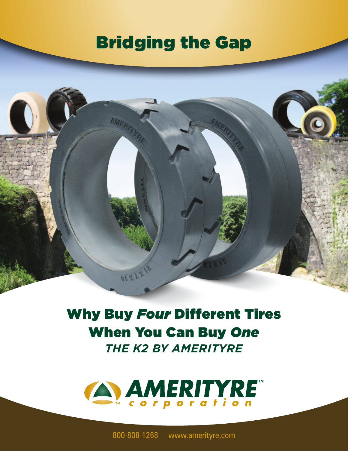## Bridging the Gap

AMERIT

81 X 1.7

Why Buy *Four* Different Tires When You Can Buy *One THE K2 BY AMERITYRE*



800-808-1268 www.amerityre.com